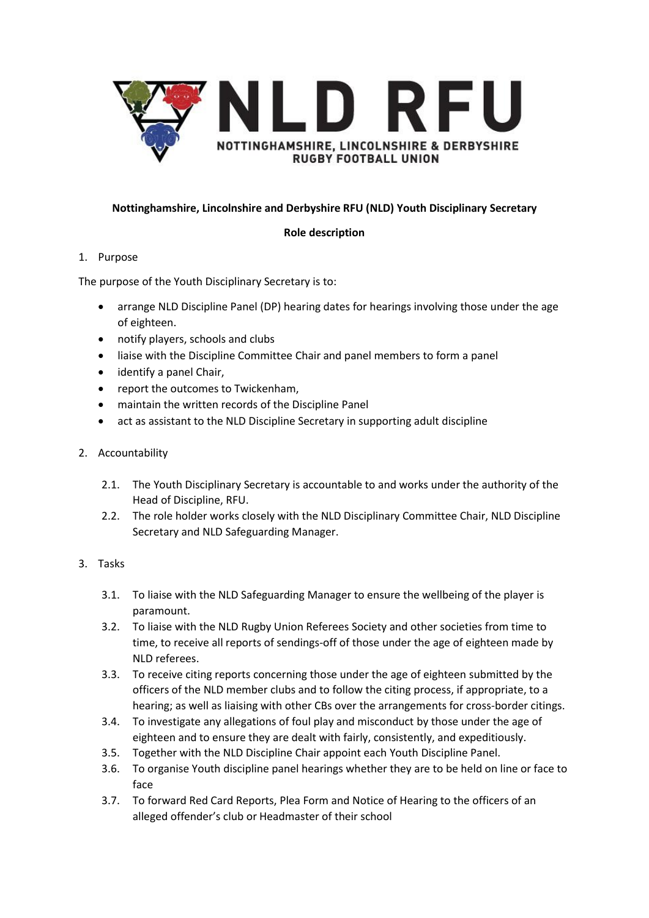

# **Nottinghamshire, Lincolnshire and Derbyshire RFU (NLD) Youth Disciplinary Secretary**

# **Role description**

# 1. Purpose

The purpose of the Youth Disciplinary Secretary is to:

- arrange NLD Discipline Panel (DP) hearing dates for hearings involving those under the age of eighteen.
- notify players, schools and clubs
- liaise with the Discipline Committee Chair and panel members to form a panel
- identify a panel Chair,
- report the outcomes to Twickenham,
- maintain the written records of the Discipline Panel
- act as assistant to the NLD Discipline Secretary in supporting adult discipline
- 2. Accountability
	- 2.1. The Youth Disciplinary Secretary is accountable to and works under the authority of the Head of Discipline, RFU.
	- 2.2. The role holder works closely with the NLD Disciplinary Committee Chair, NLD Discipline Secretary and NLD Safeguarding Manager.
- 3. Tasks
	- 3.1. To liaise with the NLD Safeguarding Manager to ensure the wellbeing of the player is paramount.
	- 3.2. To liaise with the NLD Rugby Union Referees Society and other societies from time to time, to receive all reports of sendings-off of those under the age of eighteen made by NLD referees.
	- 3.3. To receive citing reports concerning those under the age of eighteen submitted by the officers of the NLD member clubs and to follow the citing process, if appropriate, to a hearing; as well as liaising with other CBs over the arrangements for cross-border citings.
	- 3.4. To investigate any allegations of foul play and misconduct by those under the age of eighteen and to ensure they are dealt with fairly, consistently, and expeditiously.
	- 3.5. Together with the NLD Discipline Chair appoint each Youth Discipline Panel.
	- 3.6. To organise Youth discipline panel hearings whether they are to be held on line or face to face
	- 3.7. To forward Red Card Reports, Plea Form and Notice of Hearing to the officers of an alleged offender's club or Headmaster of their school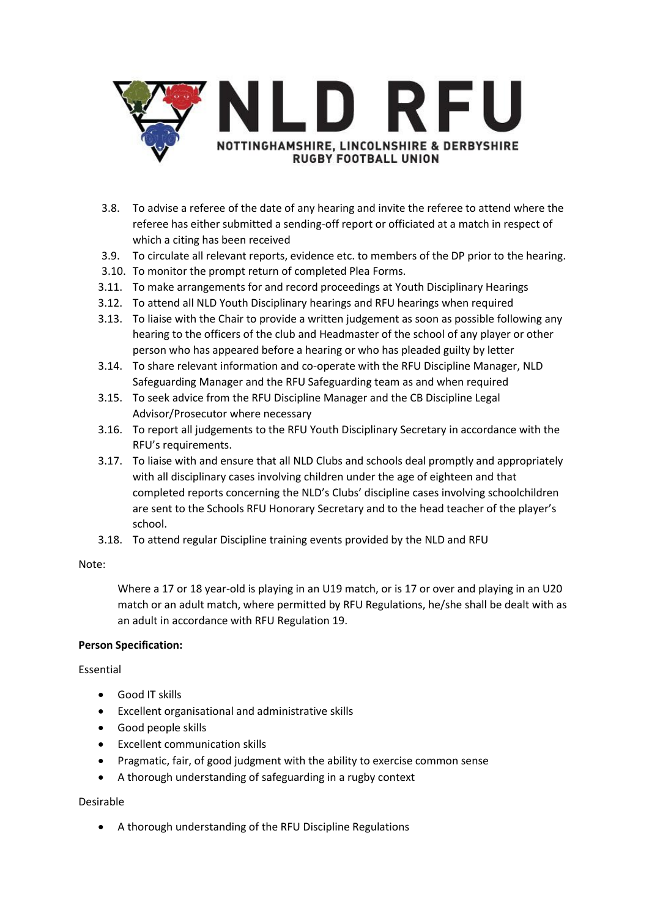

- 3.8. To advise a referee of the date of any hearing and invite the referee to attend where the referee has either submitted a sending-off report or officiated at a match in respect of which a citing has been received
- 3.9. To circulate all relevant reports, evidence etc. to members of the DP prior to the hearing.
- 3.10. To monitor the prompt return of completed Plea Forms.
- 3.11. To make arrangements for and record proceedings at Youth Disciplinary Hearings
- 3.12. To attend all NLD Youth Disciplinary hearings and RFU hearings when required
- 3.13. To liaise with the Chair to provide a written judgement as soon as possible following any hearing to the officers of the club and Headmaster of the school of any player or other person who has appeared before a hearing or who has pleaded guilty by letter
- 3.14. To share relevant information and co-operate with the RFU Discipline Manager, NLD Safeguarding Manager and the RFU Safeguarding team as and when required
- 3.15. To seek advice from the RFU Discipline Manager and the CB Discipline Legal Advisor/Prosecutor where necessary
- 3.16. To report all judgements to the RFU Youth Disciplinary Secretary in accordance with the RFU's requirements.
- 3.17. To liaise with and ensure that all NLD Clubs and schools deal promptly and appropriately with all disciplinary cases involving children under the age of eighteen and that completed reports concerning the NLD's Clubs' discipline cases involving schoolchildren are sent to the Schools RFU Honorary Secretary and to the head teacher of the player's school.
- 3.18. To attend regular Discipline training events provided by the NLD and RFU

### Note:

Where a 17 or 18 year-old is playing in an U19 match, or is 17 or over and playing in an U20 match or an adult match, where permitted by RFU Regulations, he/she shall be dealt with as an adult in accordance with RFU Regulation 19.

# **Person Specification:**

# Essential

- Good IT skills
- Excellent organisational and administrative skills
- Good people skills
- Excellent communication skills
- Pragmatic, fair, of good judgment with the ability to exercise common sense
- A thorough understanding of safeguarding in a rugby context

# Desirable

• A thorough understanding of the RFU Discipline Regulations